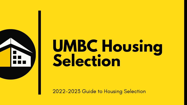

# **UMBC Housing Selection**

2022-2023 Guide to Housing Selection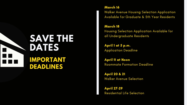# **SAVE THE DATES IMPORTANT DEADLINES**

March 16 Walker Avenue Housing Selection Application Available for Graduate & 5th Year Residents

#### April 1 at 5 p.m. Application Deadline

March 18 Housing Selection Application Available for all Undergraduate Residents

April 11 at Noon Roommate Formation Deadline

April 20 & 21

# Walker Avenue Selection

April 27-29

Residential Life Selection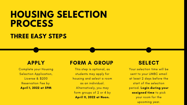# **HOUSING SELECTION PROCESS THREE EASY STEPS**

### APPLY

Complete your Housing Selection Application, License & \$200 Reservation Fee by April 1, 2022 at 5PM

### FORM A GROUP

This step is optional, as students may apply for housing and select a room as an individual. Alternatively, you may form groups of 2 or 4 by April 11, 2022 at Noon.

#### **SELECT**

Your selection time will be sent to your UMBC email at least 2 days before the start of the selection period. Login during your assigned time to pick your room for the upcoming year.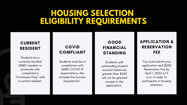# **HOUSING SELECTION ELIGIBILITY REQUIREMENTS**

#### **COVID** COMPLIANT

Students must be in compliance with UMBC COVID-19 expectations, this includes the booster requirement.

#### GOOD FINANCIAL STANDING

Students with outstanding student account balances greater than \$250 will not be granted access to the application.

#### CURRENT RESIDENT

Students be a currently enrolled UMBC resident or commuter who completed a "[Commuter](https://forms.gle/f7piKVfYza6U38qs6) Pass " with a current resident.

#### APPLICATION & RESERVATION FEE

You must submit your application and \$200 Reservation Fee by April 1, 2022 at 5 p.m. in order to participate in housing selection.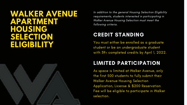### **WALKER AVENUE APARTMENT HOUSING SELECTION ELIGIBILITY**



In addition to the general Housing Selection Eligibility requirements, students interested in participating in Walker Avenue Housing Selection must meet the following criteria.

You must either be enrolled as a graduate student or be an undergraduate student with 39+ completed credits by April 1, 2022.

### CREDIT STANDING

### LIMITED PARTICIPATION

As space is limited at Walker Avenue, only the first 500 students to fully submit their Walker Avenue Housing Selection Application, License & \$200 Reservation Fee will be eligible to participate in Walker selection.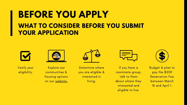# **BEFORE YOU APPLY WHAT TO CONSIDER BEFORE YOU SUBMIT YOUR APPLICATION**



Explore our communities & housing options on our [website.](http://reslife.umbc.edu/communities)

If you have a roommate group, talk to them about where they interested and eligible to live.



Budget & plan to pay the \$200 Reservation Fee between March 18 and April 1.



Verify your eligibility.



Determine where you are eligible & interested in living.

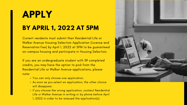# **APPLY BY APRIL 1, 2022 AT 5PM**

- o You can only choose one application.
- As soon as you select an application, the other choice will disappear.
- o If you choose the wrong application, contact Residential Life or Walker Avenue in writing or by phone before April 1, 2022 in order to be reissued the application(s).



Current residents must submit their Residential Life or Walker Avenue Housing Selection Application (License and Reservation Fee) by April 1, 2022 at 5PM to be guaranteed on-campus housing and participate in Housing Selection.

If you are an undergraduate student with 39 completed credits, you may have the option to pick from the Residential Life or Walker Avenue applications, please note: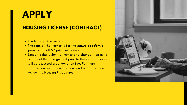# **APPLY HOUSING LICENSE (CONTRACT)**

- The housing license is a contract.
- The term of the license is for the **entire academic year**, both Fall & Spring semesters.
- Students that submit a license and change their mind or cancel their assignment prior to the start of move-in will be assessed a [cancellation](https://reslife.umbc.edu/apply/housing_procedures/) fee. For more information about cancellations and petitions, please review the Housing [Procedures.](https://reslife.umbc.edu/rlexperience/procedures/)

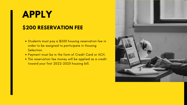# **APPLY \$200 RESERVATION FEE**

- Students must pay a \$200 housing reservation fee in order to be assigned to participate in Housing Selection.
- Payment must be in the form of Credit Card or ACH.
- The reservation fee money will be applied as a credit toward your first 2022-2023 housing bill.

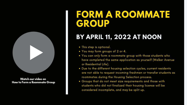# **FORM A ROOMMATE**

# **GROUP**

## **BY APRIL 11, 2022 AT NOON**

You can only form a roommate group with those students who have completed the same application as yourself (Walker Avenue

Due to the different housing selection cycles, current residents are not able to request incoming freshmen or transfer students as

- This step is optional.
- You may form groups of 2 or 4.
- or Residential Life).
- roommates during the Housing Selection process.
- considered incomplete, and may be split up.

Groups that do not meet size requirements and those with students who did not finalized their housing license will be



Watch our video on How to Form a Roommate Group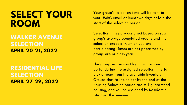# **SELECT YOUR ROOM**

**WALKER AVENUE SELECTION APRIL 20-21, 2022**

**RESIDENTIAL LIFE SELECTION APRIL 27-29, 2022**

Your group ' s selection time will be sent to your UMBC email at least two days before the start of the selection period.

Selection times are assigned based on your group ' s average completed credits and the selection process in which you are participating. Times are not prioritized by group size or class year.

The group leader must log into the housing portal during the assigned selection time to pick a room from the available inventory. Groups that fail to select by the end of the Housing Selection period are still guaranteed housing, and will be assigned by Residential Life over the summer.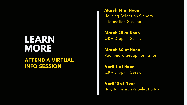### **LEARN MORE ATTEND A VIRTUAL INFO SESSION**

March 14 at Noon Housing Selection General [Information](https://umbc.webex.com/umbc/onstage/g.php?MTID=e99971cb7576120677e631e4a7e63ca92) Session

March 25 at Noon Q&A [Drop-In](https://www.google.com/url?q=https://umbc.webex.com/umbc/j.php?MTID%3Dmd67db63fadae6f4121fe74b1d702e899&sa=D&source=calendar&ust=1643119458986219&usg=AOvVaw1ZLfcq8-4leG01A664B5vP) Session

March 30 at Noon [Roommate](https://umbc.webex.com/umbc/onstage/g.php?MTID=e81d682af5e98ed8fc3f2525edb0f4616) Group Formation

April 8 at Noon Q&A [Drop-In](https://www.google.com/url?q=https://umbc.webex.com/umbc/j.php?MTID%3Dma76ef66a951706395a65ab599238c5cd&sa=D&source=calendar&ust=1643119706886139&usg=AOvVaw2R-Vxd7dMi4aK6Xqe8jo1F) Session

April 13 at Noon How to [Search](https://umbc.webex.com/umbc/onstage/g.php?MTID=e51e0f6cec64ef6baff06bee5c196db43) & Select a Room